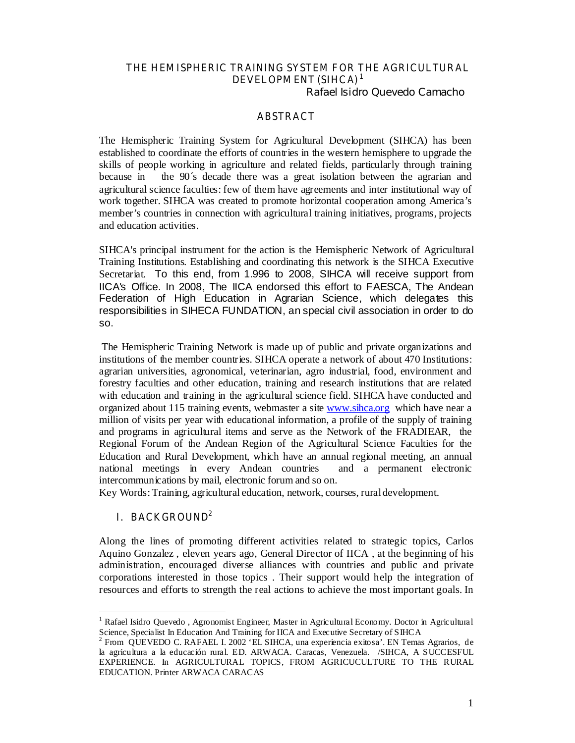## THE HEMISPHERIC TRAINING SYSTEM FOR THE AGRICULTURAL DEVELOPMENT (SIHCA)<sup>1</sup>

Rafael Isidro Quevedo Camacho

#### ABSTRACT

The Hemispheric Training System for Agricultural Development (SIHCA) has been established to coordinate the efforts of countries in the western hemisphere to upgrade the skills of people working in agriculture and related fields, particularly through training because in the 90´s decade there was a great isolation between the agrarian and agricultural science faculties: few of them have agreements and inter institutional way of work together. SIHCA was created to promote horizontal cooperation among America's member's countries in connection with agricultural training initiatives, programs, projects and education activities.

SIHCA's principal instrument for the action is the Hemispheric Network of Agricultural Training Institutions. Establishing and coordinating this network is the SIHCA Executive Secretariat. To this end, from 1.996 to 2008, SIHCA will receive support from IICA's Office. In 2008, The IICA endorsed this effort to FAESCA, The Andean Federation of High Education in Agrarian Science, which delegates this responsibilities in SIHECA FUNDATION, an special civil association in order to do so.

 The Hemispheric Training Network is made up of public and private organizations and institutions of the member countries. SIHCA operate a network of about 470 Institutions: agrarian universities, agronomical, veterinarian, agro industrial, food, environment and forestry faculties and other education, training and research institutions that are related with education and training in the agricultural science field. SIHCA have conducted and organized about 115 training events, webmaster a site www.sihca.org which have near a million of visits per year with educational information, a profile of the supply of training and programs in agricultural items and serve as the Network of the FRADIEAR, the Regional Forum of the Andean Region of the Agricultural Science Faculties for the Education and Rural Development, which have an annual regional meeting, an annual national meetings in every Andean countries and a permanent electronic intercommunications by mail, electronic forum and so on.

Key Words: Training, agricultural education, network, courses, rural development.

### I. BACKGROUND<sup>2</sup>

 $\overline{a}$ 

Along the lines of promoting different activities related to strategic topics, Carlos Aquino Gonzalez , eleven years ago, General Director of IICA , at the beginning of his administration, encouraged diverse alliances with countries and public and private corporations interested in those topics . Their support would help the integration of resources and efforts to strength the real actions to achieve the most important goals. In

<sup>&</sup>lt;sup>1</sup> Rafael Isidro Quevedo, Agronomist Engineer, Master in Agricultural Economy. Doctor in Agricultural Science, Specialist In Education And Training for IICA and Executive Secretary of SIHCA<br><sup>2</sup> Eron. OUEVEDO C. RAEAEL L 2002 'EL SIHCA, una experiencia exitosa'. EN Tempe

From QUEVEDO C. RAFAEL I. 2002 'EL SIHCA, una experiencia exitosa'. EN Temas Agrarios, de la agricultura a la educación rural. ED. ARWACA. Caracas, Venezuela. /SIHCA, A SUCCESFUL EXPERIENCE. In AGRICULTURAL TOPICS, FROM AGRICUCULTURE TO THE RURAL EDUCATION. Printer ARWACA CARACAS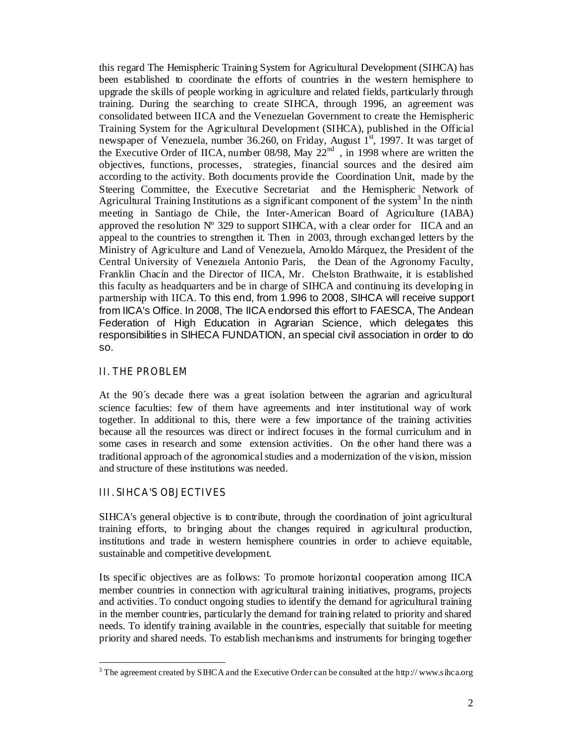this regard The Hemispheric Training System for Agricultural Development (SIHCA) has been established to coordinate the efforts of countries in the western hemisphere to upgrade the skills of people working in agriculture and related fields, particularly through training. During the searching to create SIHCA, through 1996, an agreement was consolidated between IICA and the Venezuelan Government to create the Hemispheric Training System for the Agricultural Development (SIHCA), published in the Official newspaper of Venezuela, number 36.260, on Friday, August  $1<sup>st</sup>$ , 1997. It was target of the Executive Order of IICA, number 08/98, May 22<sup>nd</sup>, in 1998 where are written the objectives, functions, processes, strategies, financial sources and the desired aim according to the activity. Both documents provide the Coordination Unit, made by the Steering Committee, the Executive Secretariat and the Hemispheric Network of Agricultural Training Institutions as a significant component of the system<sup>3</sup> In the ninth meeting in Santiago de Chile, the Inter-American Board of Agriculture (IABA) approved the resolution  $N^{\circ}$  329 to support SIHCA, with a clear order for IICA and an appeal to the countries to strengthen it. Then in 2003, through exchanged letters by the Ministry of Agriculture and Land of Venezuela, Arnoldo Márquez, the President of the Central University of Venezuela Antonio Paris, the Dean of the Agronomy Faculty, Franklin Chacín and the Director of IICA, Mr. Chelston Brathwaite, it is established this faculty as headquarters and be in charge of SIHCA and continuing its developing in partnership with IICA. To this end, from 1.996 to 2008, SIHCA will receive support from IICA's Office. In 2008, The IICA endorsed this effort to FAESCA, The Andean Federation of High Education in Agrarian Science, which delegates this responsibilities in SIHECA FUNDATION, an special civil association in order to do so.

### II. THE PROBLEM

At the 90´s decade there was a great isolation between the agrarian and agricultural science faculties: few of them have agreements and inter institutional way of work together. In additional to this, there were a few importance of the training activities because all the resources was direct or indirect focuses in the formal curriculum and in some cases in research and some extension activities. On the other hand there was a traditional approach of the agronomical studies and a modernization of the vision, mission and structure of these institutions was needed.

# III. SIHCA'S OBJECTIVES

SIHCA's general objective is to contribute, through the coordination of joint agricultural training efforts, to bringing about the changes required in agricultural production, institutions and trade in western hemisphere countries in order to achieve equitable, sustainable and competitive development.

Its specific objectives are as follows: To promote horizontal cooperation among IICA member countries in connection with agricultural training initiatives, programs, projects and activities. To conduct ongoing studies to identify the demand for agricultural training in the member countries, particularly the demand for training related to priority and shared needs. To identify training available in the countries, especially that suitable for meeting priority and shared needs. To establish mechanisms and instruments for bringing together

<sup>&</sup>lt;sup>3</sup> The agreement created by SIHCA and the Executive Order can be consulted at the http://www.sihca.org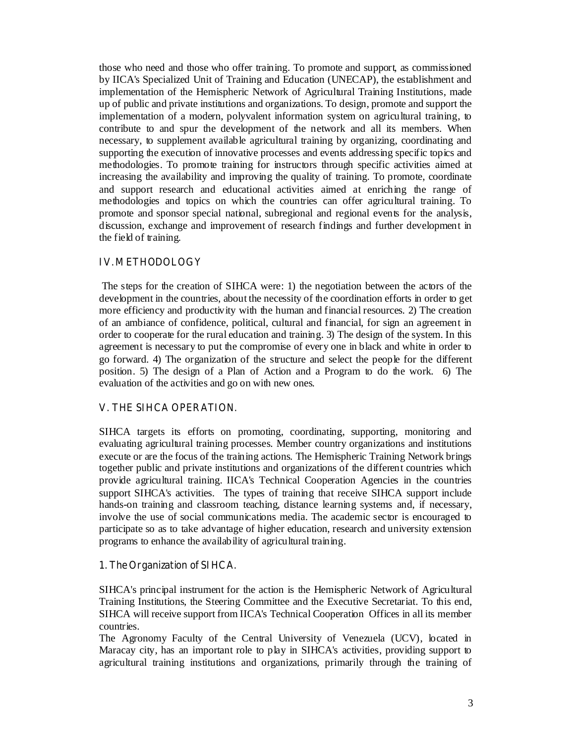those who need and those who offer training. To promote and support, as commissioned by IICA's Specialized Unit of Training and Education (UNECAP), the establishment and implementation of the Hemispheric Network of Agricultural Training Institutions, made up of public and private institutions and organizations. To design, promote and support the implementation of a modern, polyvalent information system on agricultural training, to contribute to and spur the development of the network and all its members. When necessary, to supplement available agricultural training by organizing, coordinating and supporting the execution of innovative processes and events addressing specific topics and methodologies. To promote training for instructors through specific activities aimed at increasing the availability and improving the quality of training. To promote, coordinate and support research and educational activities aimed at enriching the range of methodologies and topics on which the countries can offer agricultural training. To promote and sponsor special national, subregional and regional events for the analysis, discussion, exchange and improvement of research findings and further development in the field of training.

## IV. METHODOLOGY

The steps for the creation of SIHCA were: 1) the negotiation between the actors of the development in the countries, about the necessity of the coordination efforts in order to get more efficiency and productivity with the human and financial resources. 2) The creation of an ambiance of confidence, political, cultural and financial, for sign an agreement in order to cooperate for the rural education and training. 3) The design of the system. In this agreement is necessary to put the compromise of every one in black and white in order to go forward. 4) The organization of the structure and select the people for the different position. 5) The design of a Plan of Action and a Program to do the work. 6) The evaluation of the activities and go on with new ones.

### V. THE SIHCA OPERATION.

SIHCA targets its efforts on promoting, coordinating, supporting, monitoring and evaluating agricultural training processes. Member country organizations and institutions execute or are the focus of the training actions. The Hemispheric Training Network brings together public and private institutions and organizations of the different countries which provide agricultural training. IICA's Technical Cooperation Agencies in the countries support SIHCA's activities. The types of training that receive SIHCA support include hands-on training and classroom teaching, distance learning systems and, if necessary, involve the use of social communications media. The academic sector is encouraged to participate so as to take advantage of higher education, research and university extension programs to enhance the availability of agricultural training.

### 1. The Organization of SIHCA.

SIHCA's principal instrument for the action is the Hemispheric Network of Agricultural Training Institutions, the Steering Committee and the Executive Secretariat. To this end, SIHCA will receive support from IICA's Technical Cooperation Offices in all its member countries.

The Agronomy Faculty of the Central University of Venezuela (UCV), located in Maracay city, has an important role to play in SIHCA's activities, providing support to agricultural training institutions and organizations, primarily through the training of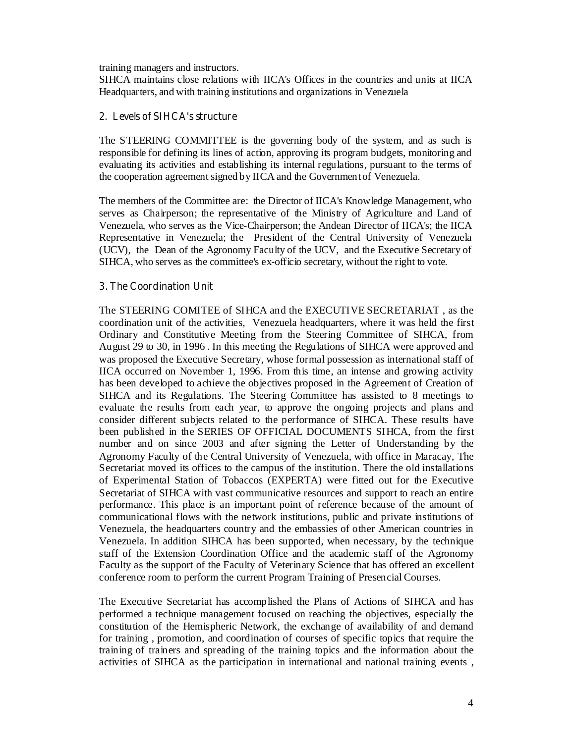training managers and instructors.

SIHCA maintains close relations with IICA's Offices in the countries and units at IICA Headquarters, and with training institutions and organizations in Venezuela

## 2. Levels of SIHCA's structure

The STEERING COMMITTEE is the governing body of the system, and as such is responsible for defining its lines of action, approving its program budgets, monitoring and evaluating its activities and establishing its internal regulations, pursuant to the terms of the cooperation agreement signed by IICA and the Government of Venezuela.

The members of the Committee are: the Director of IICA's Knowledge Management, who serves as Chairperson; the representative of the Ministry of Agriculture and Land of Venezuela, who serves as the Vice-Chairperson; the Andean Director of IICA's; the IICA Representative in Venezuela; the President of the Central University of Venezuela (UCV), the Dean of the Agronomy Faculty of the UCV, and the Executive Secretary of SIHCA, who serves as the committee's ex-officio secretary, without the right to vote.

### 3. The Coordination Unit

The STEERING COMITEE of SIHCA and the EXECUTIVE SECRETARIAT , as the coordination unit of the activities, Venezuela headquarters, where it was held the first Ordinary and Constitutive Meeting from the Steering Committee of SIHCA, from August 29 to 30, in 1996 . In this meeting the Regulations of SIHCA were approved and was proposed the Executive Secretary, whose formal possession as international staff of IICA occurred on November 1, 1996. From this time, an intense and growing activity has been developed to achieve the objectives proposed in the Agreement of Creation of SIHCA and its Regulations. The Steering Committee has assisted to 8 meetings to evaluate the results from each year, to approve the ongoing projects and plans and consider different subjects related to the performance of SIHCA. These results have been published in the SERIES OF OFFICIAL DOCUMENTS SIHCA, from the first number and on since 2003 and after signing the Letter of Understanding by the Agronomy Faculty of the Central University of Venezuela, with office in Maracay, The Secretariat moved its offices to the campus of the institution. There the old installations of Experimental Station of Tobaccos (EXPERTA) were fitted out for the Executive Secretariat of SIHCA with vast communicative resources and support to reach an entire performance. This place is an important point of reference because of the amount of communicational flows with the network institutions, public and private institutions of Venezuela, the headquarters country and the embassies of other American countries in Venezuela. In addition SIHCA has been supported, when necessary, by the technique staff of the Extension Coordination Office and the academic staff of the Agronomy Faculty as the support of the Faculty of Veterinary Science that has offered an excellent conference room to perform the current Program Training of Presencial Courses.

The Executive Secretariat has accomplished the Plans of Actions of SIHCA and has performed a technique management focused on reaching the objectives, especially the constitution of the Hemispheric Network, the exchange of availability of and demand for training , promotion, and coordination of courses of specific topics that require the training of trainers and spreading of the training topics and the information about the activities of SIHCA as the participation in international and national training events ,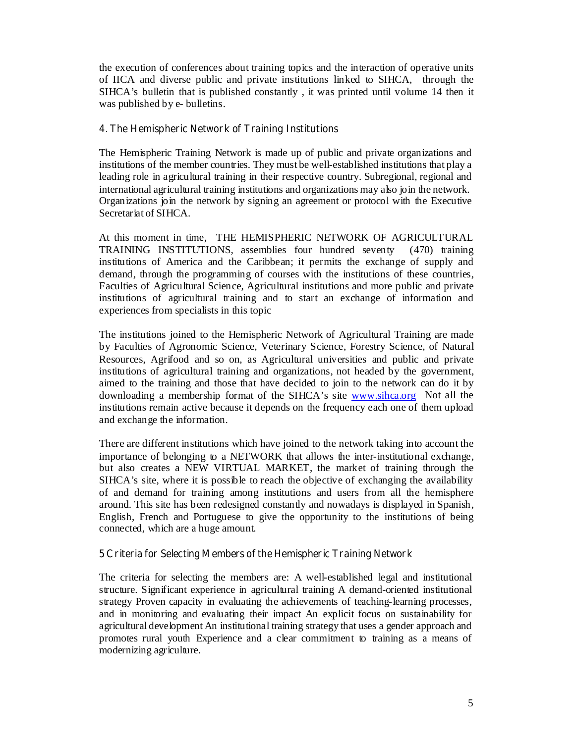the execution of conferences about training topics and the interaction of operative units of IICA and diverse public and private institutions linked to SIHCA, through the SIHCA's bulletin that is published constantly , it was printed until volume 14 then it was published by e- bulletins.

#### 4. The Hemispheric Network of Training Institutions

The Hemispheric Training Network is made up of public and private organizations and institutions of the member countries. They must be well-established institutions that play a leading role in agricultural training in their respective country. Subregional, regional and international agricultural training institutions and organizations may also join the network. Organizations join the network by signing an agreement or protocol with the Executive Secretariat of SIHCA.

At this moment in time, THE HEMISPHERIC NETWORK OF AGRICULTURAL TRAINING INSTITUTIONS, assemblies four hundred seventy (470) training institutions of America and the Caribbean; it permits the exchange of supply and demand, through the programming of courses with the institutions of these countries, Faculties of Agricultural Science, Agricultural institutions and more public and private institutions of agricultural training and to start an exchange of information and experiences from specialists in this topic

The institutions joined to the Hemispheric Network of Agricultural Training are made by Faculties of Agronomic Science, Veterinary Science, Forestry Science, of Natural Resources, Agrifood and so on, as Agricultural universities and public and private institutions of agricultural training and organizations, not headed by the government, aimed to the training and those that have decided to join to the network can do it by downloading a membership format of the SIHCA's site www.sihca.org Not all the institutions remain active because it depends on the frequency each one of them upload and exchange the information.

There are different institutions which have joined to the network taking into account the importance of belonging to a NETWORK that allows the inter-institutional exchange, but also creates a NEW VIRTUAL MARKET, the market of training through the SIHCA's site, where it is possible to reach the objective of exchanging the availability of and demand for training among institutions and users from all the hemisphere around. This site has been redesigned constantly and nowadays is displayed in Spanish, English, French and Portuguese to give the opportunity to the institutions of being connected, which are a huge amount.

### 5 Criteria for Selecting Members of the Hemispheric Training Network

The criteria for selecting the members are: A well-established legal and institutional structure. Significant experience in agricultural training A demand-oriented institutional strategy Proven capacity in evaluating the achievements of teaching-learning processes, and in monitoring and evaluating their impact An explicit focus on sustainability for agricultural development An institutional training strategy that uses a gender approach and promotes rural youth Experience and a clear commitment to training as a means of modernizing agriculture.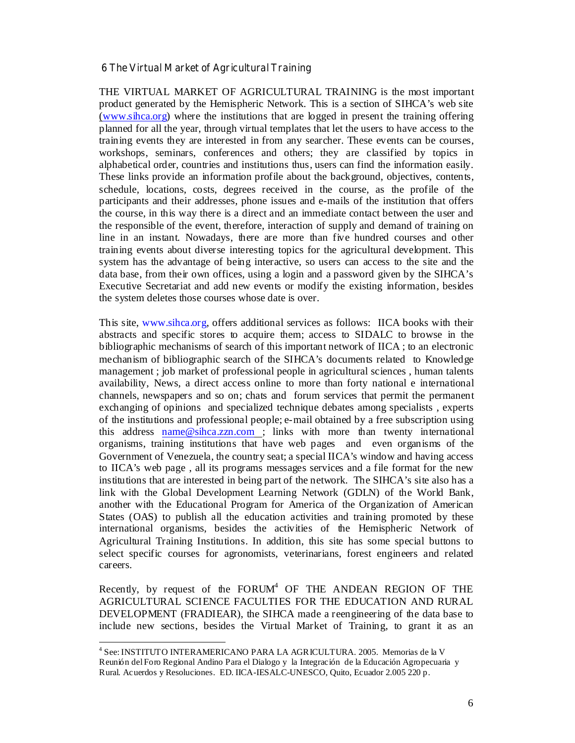#### 6 The Virtual Market of Agricultural Training

THE VIRTUAL MARKET OF AGRICULTURAL TRAINING is the most important product generated by the Hemispheric Network. This is a section of SIHCA's web site (www.sihca.org) where the institutions that are logged in present the training offering planned for all the year, through virtual templates that let the users to have access to the training events they are interested in from any searcher. These events can be courses, workshops, seminars, conferences and others; they are classified by topics in alphabetical order, countries and institutions thus, users can find the information easily. These links provide an information profile about the background, objectives, contents, schedule, locations, costs, degrees received in the course, as the profile of the participants and their addresses, phone issues and e-mails of the institution that offers the course, in this way there is a direct and an immediate contact between the user and the responsible of the event, therefore, interaction of supply and demand of training on line in an instant. Nowadays, there are more than five hundred courses and other training events about diverse interesting topics for the agricultural development. This system has the advantage of being interactive, so users can access to the site and the data base, from their own offices, using a login and a password given by the SIHCA's Executive Secretariat and add new events or modify the existing information, besides the system deletes those courses whose date is over.

This site, www.sihca.org, offers additional services as follows: IICA books with their abstracts and specific stores to acquire them; access to SIDALC to browse in the bibliographic mechanisms of search of this important network of IICA ; to an electronic mechanism of bibliographic search of the SIHCA's documents related to Knowledge management ; job market of professional people in agricultural sciences , human talents availability, News, a direct access online to more than forty national e international channels, newspapers and so on; chats and forum services that permit the permanent exchanging of opinions and specialized technique debates among specialists , experts of the institutions and professional people; e-mail obtained by a free subscription using this address name@sihca.zzn.com ; links with more than twenty international organisms, training institutions that have web pages and even organisms of the Government of Venezuela, the country seat; a special IICA's window and having access to IICA's web page , all its programs messages services and a file format for the new institutions that are interested in being part of the network. The SIHCA's site also has a link with the Global Development Learning Network (GDLN) of the World Bank, another with the Educational Program for America of the Organization of American States (OAS) to publish all the education activities and training promoted by these international organisms, besides the activities of the Hemispheric Network of Agricultural Training Institutions. In addition, this site has some special buttons to select specific courses for agronomists, veterinarians, forest engineers and related careers.

Recently, by request of the  $FORM<sup>4</sup>$  OF THE ANDEAN REGION OF THE AGRICULTURAL SCIENCE FACULTIES FOR THE EDUCATION AND RURAL DEVELOPMENT (FRADIEAR), the SIHCA made a reengineering of the data base to include new sections, besides the Virtual Market of Training, to grant it as an

 4 See: INSTITUTO INTERAMERICANO PARA LA AGRICULTURA. 2005. Memorias de la V Reunión del Foro Regional Andino Para el Dialogo y la Integración de la Educación Agropecuaria y Rural. Acuerdos y Resoluciones. ED. IICA-IESALC-UNESCO, Quito, Ecuador 2.005 220 p.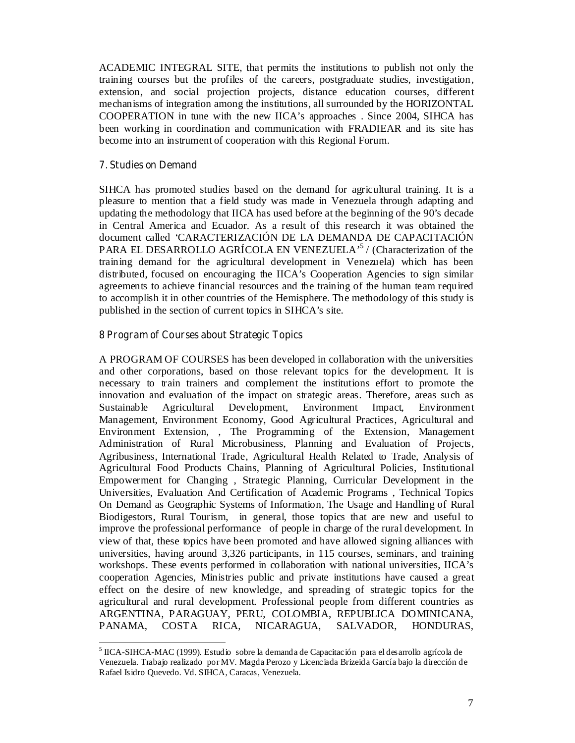ACADEMIC INTEGRAL SITE, that permits the institutions to publish not only the training courses but the profiles of the careers, postgraduate studies, investigation, extension, and social projection projects, distance education courses, different mechanisms of integration among the institutions, all surrounded by the HORIZONTAL COOPERATION in tune with the new IICA's approaches . Since 2004, SIHCA has been working in coordination and communication with FRADIEAR and its site has become into an instrument of cooperation with this Regional Forum.

### 7. Studies on Demand

SIHCA has promoted studies based on the demand for agricultural training. It is a pleasure to mention that a field study was made in Venezuela through adapting and updating the methodology that IICA has used before at the beginning of the 90's decade in Central America and Ecuador. As a result of this research it was obtained the document called 'CARACTERIZACIÓN DE LA DEMANDA DE CAPACITACIÓN PARA EL DESARROLLO AGRÍCOLA EN VENEZUELA<sup>,5</sup> / (Characterization of the training demand for the agricultural development in Venezuela) which has been distributed, focused on encouraging the IICA's Cooperation Agencies to sign similar agreements to achieve financial resources and the training of the human team required to accomplish it in other countries of the Hemisphere. The methodology of this study is published in the section of current topics in SIHCA's site.

#### 8 Program of Courses about Strategic Topics

A PROGRAM OF COURSES has been developed in collaboration with the universities and other corporations, based on those relevant topics for the development. It is necessary to train trainers and complement the institutions effort to promote the innovation and evaluation of the impact on strategic areas. Therefore, areas such as Sustainable Agricultural Development, Environment Impact, Environment Management, Environment Economy, Good Agricultural Practices, Agricultural and Environment Extension, , The Programming of the Extension, Management Administration of Rural Microbusiness, Planning and Evaluation of Projects, Agribusiness, International Trade, Agricultural Health Related to Trade, Analysis of Agricultural Food Products Chains, Planning of Agricultural Policies, Institutional Empowerment for Changing , Strategic Planning, Curricular Development in the Universities, Evaluation And Certification of Academic Programs , Technical Topics On Demand as Geographic Systems of Information, The Usage and Handling of Rural Biodigestors, Rural Tourism, in general, those topics that are new and useful to improve the professional performance of people in charge of the rural development. In view of that, these topics have been promoted and have allowed signing alliances with universities, having around 3,326 participants, in 115 courses, seminars, and training workshops. These events performed in collaboration with national universities, IICA's cooperation Agencies, Ministries public and private institutions have caused a great effect on the desire of new knowledge, and spreading of strategic topics for the agricultural and rural development. Professional people from different countries as ARGENTINA, PARAGUAY, PERU, COLOMBIA, REPUBLICA DOMINICANA, PANAMA, COSTA RICA, NICARAGUA, SALVADOR, HONDURAS,

<sup>&</sup>lt;sup>5</sup> IICA-SIHCA-MAC (1999). Estudio sobre la demanda de Capacitación para el desarrollo agrícola de Venezuela. Trabajo realizado por MV. Magda Perozo y Licenciada Brizeida García bajo la dirección de Rafael Isidro Quevedo. Vd. SIHCA, Caracas, Venezuela.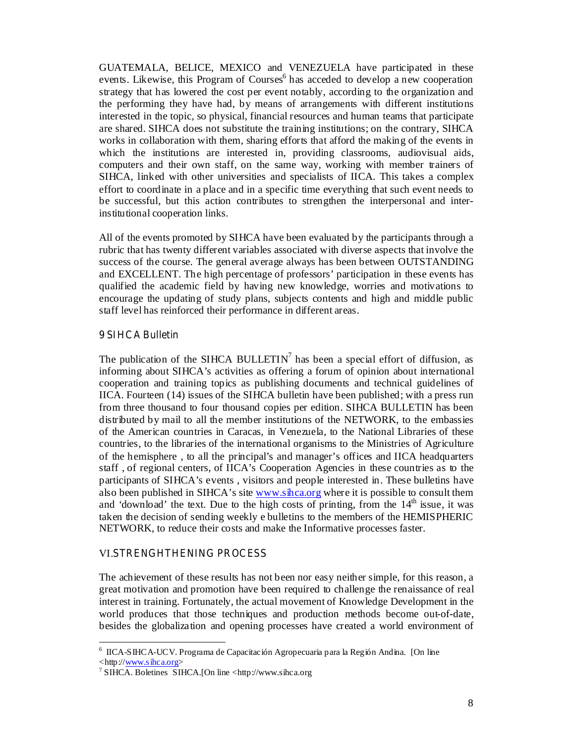GUATEMALA, BELICE, MEXICO and VENEZUELA have participated in these events. Likewise, this Program of Courses<sup>6</sup> has acceded to develop a new cooperation strategy that has lowered the cost per event notably, according to the organization and the performing they have had, by means of arrangements with different institutions interested in the topic, so physical, financial resources and human teams that participate are shared. SIHCA does not substitute the training institutions; on the contrary, SIHCA works in collaboration with them, sharing efforts that afford the making of the events in which the institutions are interested in, providing classrooms, audiovisual aids, computers and their own staff, on the same way, working with member trainers of SIHCA, linked with other universities and specialists of IICA. This takes a complex effort to coordinate in a place and in a specific time everything that such event needs to be successful, but this action contributes to strengthen the interpersonal and interinstitutional cooperation links.

All of the events promoted by SIHCA have been evaluated by the participants through a rubric that has twenty different variables associated with diverse aspects that involve the success of the course. The general average always has been between OUTSTANDING and EXCELLENT. The high percentage of professors' participation in these events has qualified the academic field by having new knowledge, worries and motivations to encourage the updating of study plans, subjects contents and high and middle public staff level has reinforced their performance in different areas.

### 9 SIHCA Bulletin

The publication of the SIHCA BULLETIN<sup>7</sup> has been a special effort of diffusion, as informing about SIHCA's activities as offering a forum of opinion about international cooperation and training topics as publishing documents and technical guidelines of IICA. Fourteen (14) issues of the SIHCA bulletin have been published; with a press run from three thousand to four thousand copies per edition. SIHCA BULLETIN has been distributed by mail to all the member institutions of the NETWORK, to the embassies of the American countries in Caracas, in Venezuela, to the National Libraries of these countries, to the libraries of the international organisms to the Ministries of Agriculture of the hemisphere , to all the principal's and manager's offices and IICA headquarters staff , of regional centers, of IICA's Cooperation Agencies in these countries as to the participants of SIHCA's events , visitors and people interested in. These bulletins have also been published in SIHCA's site www.sihca.org where it is possible to consult them and 'download' the text. Due to the high costs of printing, from the  $14<sup>th</sup>$  issue, it was taken the decision of sending weekly e bulletins to the members of the HEMISPHERIC NETWORK, to reduce their costs and make the Informative processes faster.

#### VI **STRENGHTHENING PROCESS**

The achievement of these results has not been nor easy neither simple, for this reason, a great motivation and promotion have been required to challenge the renaissance of real interest in training. Fortunately, the actual movement of Knowledge Development in the world produces that those techniques and production methods become out-of-date, besides the globalization and opening processes have created a world environment of

 6 IICA-SIHCA-UCV. Programa de Capacitación Agropecuaria para la Región Andina. [On line  $\langle$ http://www.sihca.org>

<sup>&</sup>lt;sup>7</sup> SIHCA. Boletines SIHCA. [On line <http://www.sihca.org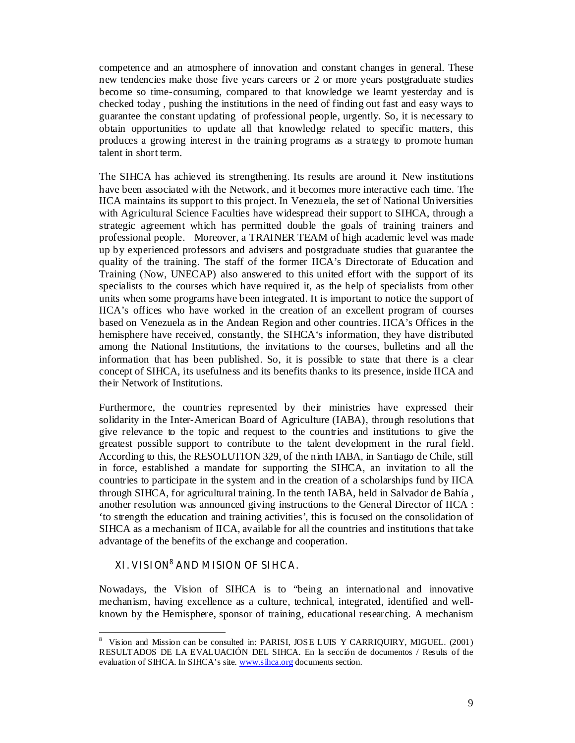competence and an atmosphere of innovation and constant changes in general. These new tendencies make those five years careers or 2 or more years postgraduate studies become so time-consuming, compared to that knowledge we learnt yesterday and is checked today , pushing the institutions in the need of finding out fast and easy ways to guarantee the constant updating of professional people, urgently. So, it is necessary to obtain opportunities to update all that knowledge related to specific matters, this produces a growing interest in the training programs as a strategy to promote human talent in short term.

The SIHCA has achieved its strengthening. Its results are around it. New institutions have been associated with the Network, and it becomes more interactive each time. The IICA maintains its support to this project. In Venezuela, the set of National Universities with Agricultural Science Faculties have widespread their support to SIHCA, through a strategic agreement which has permitted double the goals of training trainers and professional people. Moreover, a TRAINER TEAM of high academic level was made up by experienced professors and advisers and postgraduate studies that guarantee the quality of the training. The staff of the former IICA's Directorate of Education and Training (Now, UNECAP) also answered to this united effort with the support of its specialists to the courses which have required it, as the help of specialists from other units when some programs have been integrated. It is important to notice the support of IICA's offices who have worked in the creation of an excellent program of courses based on Venezuela as in the Andean Region and other countries. IICA's Offices in the hemisphere have received, constantly, the SIHCA's information, they have distributed among the National Institutions, the invitations to the courses, bulletins and all the information that has been published. So, it is possible to state that there is a clear concept of SIHCA, its usefulness and its benefits thanks to its presence, inside IICA and their Network of Institutions.

Furthermore, the countries represented by their ministries have expressed their solidarity in the Inter-American Board of Agriculture (IABA), through resolutions that give relevance to the topic and request to the countries and institutions to give the greatest possible support to contribute to the talent development in the rural field. According to this, the RESOLUTION 329, of the ninth IABA, in Santiago de Chile, still in force, established a mandate for supporting the SIHCA, an invitation to all the countries to participate in the system and in the creation of a scholarships fund by IICA through SIHCA, for agricultural training. In the tenth IABA, held in Salvador de Bahía , another resolution was announced giving instructions to the General Director of IICA : 'to strength the education and training activities', this is focused on the consolidation of SIHCA as a mechanism of IICA, available for all the countries and institutions that take advantage of the benefits of the exchange and cooperation.

# XI. VISION<sup>8</sup> AND MISION OF SIHCA.

Nowadays, the Vision of SIHCA is to "being an international and innovative mechanism, having excellence as a culture, technical, integrated, identified and wellknown by the Hemisphere, sponsor of training, educational researching. A mechanism

 $\overline{a}$ 8 Vision and Mission can be consulted in: PARISI, JOSE LUIS Y CARRIQUIRY, MIGUEL. (2001) RESULTADOS DE LA EVALUACIÓN DEL SIHCA. En la sección de documentos / Results of the evaluation of SIHCA. In SIHCA's site. www.sihca.org documents section.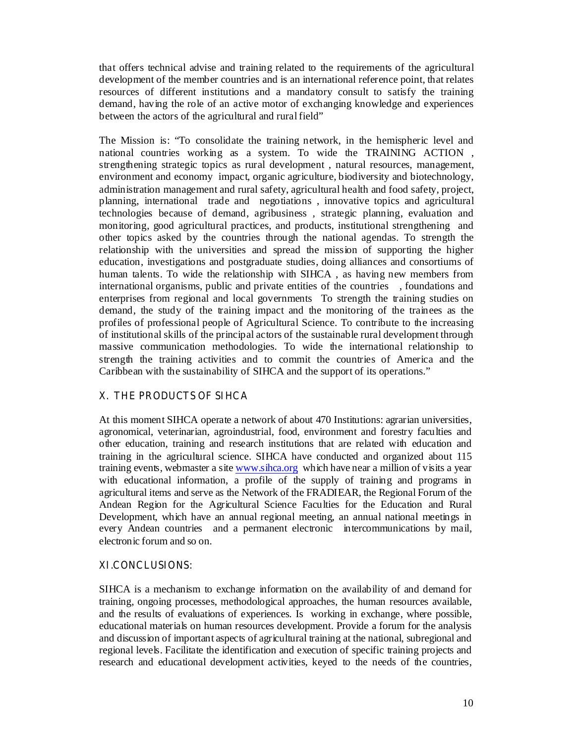that offers technical advise and training related to the requirements of the agricultural development of the member countries and is an international reference point, that relates resources of different institutions and a mandatory consult to satisfy the training demand, having the role of an active motor of exchanging knowledge and experiences between the actors of the agricultural and rural field"

The Mission is: "To consolidate the training network, in the hemispheric level and national countries working as a system. To wide the TRAINING ACTION , strengthening strategic topics as rural development , natural resources, management, environment and economy impact, organic agriculture, biodiversity and biotechnology, administration management and rural safety, agricultural health and food safety, project, planning, international trade and negotiations , innovative topics and agricultural technologies because of demand, agribusiness , strategic planning, evaluation and monitoring, good agricultural practices, and products, institutional strengthening and other topics asked by the countries through the national agendas. To strength the relationship with the universities and spread the mission of supporting the higher education, investigations and postgraduate studies, doing alliances and consortiums of human talents. To wide the relationship with SIHCA , as having new members from international organisms, public and private entities of the countries , foundations and enterprises from regional and local governments To strength the training studies on demand, the study of the training impact and the monitoring of the trainees as the profiles of professional people of Agricultural Science. To contribute to the increasing of institutional skills of the principal actors of the sustainable rural development through massive communication methodologies. To wide the international relationship to strength the training activities and to commit the countries of America and the Caribbean with the sustainability of SIHCA and the support of its operations."

# X. THE PRODUCTS OF SIHCA

At this moment SIHCA operate a network of about 470 Institutions: agrarian universities, agronomical, veterinarian, agroindustrial, food, environment and forestry faculties and other education, training and research institutions that are related with education and training in the agricultural science. SIHCA have conducted and organized about 115 training events, webmaster a site www.sihca.org which have near a million of visits a year with educational information, a profile of the supply of training and programs in agricultural items and serve as the Network of the FRADIEAR, the Regional Forum of the Andean Region for the Agricultural Science Faculties for the Education and Rural Development, which have an annual regional meeting, an annual national meetings in every Andean countries and a permanent electronic intercommunications by mail, electronic forum and so on.

### XI.CONCLUSIONS:

SIHCA is a mechanism to exchange information on the availability of and demand for training, ongoing processes, methodological approaches, the human resources available, and the results of evaluations of experiences. Is working in exchange, where possible, educational materials on human resources development. Provide a forum for the analysis and discussion of important aspects of agricultural training at the national, subregional and regional levels. Facilitate the identification and execution of specific training projects and research and educational development activities, keyed to the needs of the countries,